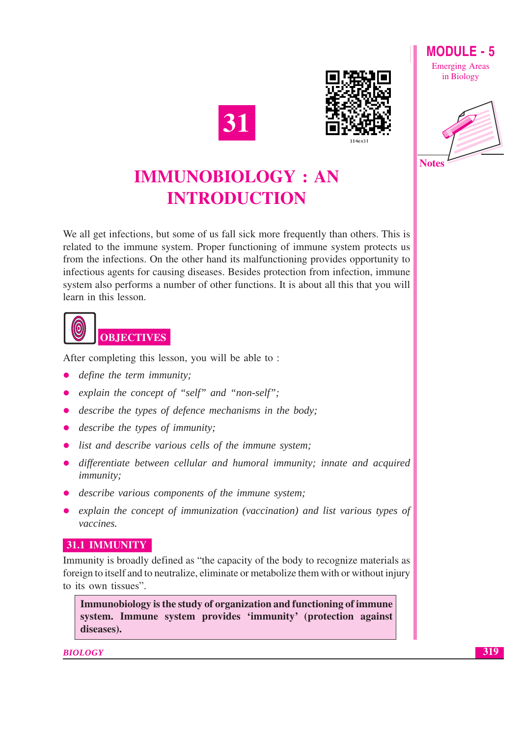



**MODULE - 5 Emerging Areas** in Biology



# **IMMUNOBIOLOGY: AN INTRODUCTION**

We all get infections, but some of us fall sick more frequently than others. This is related to the immune system. Proper functioning of immune system protects us from the infections. On the other hand its malfunctioning provides opportunity to infectious agents for causing diseases. Besides protection from infection, immune system also performs a number of other functions. It is about all this that you will learn in this lesson.



After completing this lesson, you will be able to:

- *define the term immunity;*
- explain the concept of "self" and "non-self";
- describe the types of defence mechanisms in the body;
- $\bullet$  describe the types of immunity;
- list and describe various cells of the immune system;
- differentiate between cellular and humoral immunity; innate and acquired *immunity*:
- describe various components of the immune system;
- explain the concept of immunization (vaccination) and list various types of vaccines.

#### 31.1 IMMUNITY

Immunity is broadly defined as "the capacity of the body to recognize materials as foreign to itself and to neutralize, eliminate or metabolize them with or without injury to its own tissues".

Immunobiology is the study of organization and functioning of immune system. Immune system provides 'immunity' (protection against diseases).

**BIOLOGY**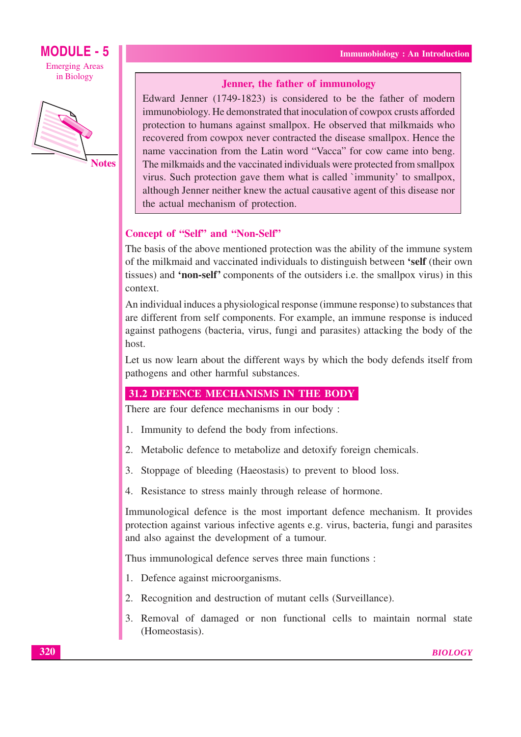### **MODULE - 5 Emerging Areas**

in Biology



**Notes** 

#### Jenner, the father of immunology

Edward Jenner (1749-1823) is considered to be the father of modern immunobiology. He demonstrated that inoculation of cowpox crusts afforded protection to humans against smallpox. He observed that milkmaids who recovered from cowpox never contracted the disease smallpox. Hence the name vaccination from the Latin word "Vacca" for cow came into beng. The milkmaids and the vaccinated individuals were protected from smallpox virus. Such protection gave them what is called `immunity' to smallpox, although Jenner neither knew the actual causative agent of this disease nor the actual mechanism of protection.

#### Concept of "Self" and "Non-Self"

The basis of the above mentioned protection was the ability of the immune system of the milkmaid and vaccinated individuals to distinguish between 'self (their own tissues) and 'non-self' components of the outsiders *i.e.* the smallpox virus) in this context.

An individual induces a physiological response (immune response) to substances that are different from self components. For example, an immune response is induced against pathogens (bacteria, virus, fungi and parasites) attacking the body of the host.

Let us now learn about the different ways by which the body defends itself from pathogens and other harmful substances.

#### **31.2 DEFENCE MECHANISMS IN THE BODY**

There are four defence mechanisms in our body :

- 1. Immunity to defend the body from infections.
- 2. Metabolic defence to metabolize and detoxify foreign chemicals.
- 3. Stoppage of bleeding (Haeostasis) to prevent to blood loss.
- 4. Resistance to stress mainly through release of hormone.

Immunological defence is the most important defence mechanism. It provides protection against various infective agents e.g. virus, bacteria, fungi and parasites and also against the development of a tumour.

Thus immunological defence serves three main functions :

- 1. Defence against microorganisms.
- 2. Recognition and destruction of mutant cells (Surveillance).
- 3. Removal of damaged or non functional cells to maintain normal state (Homeostasis).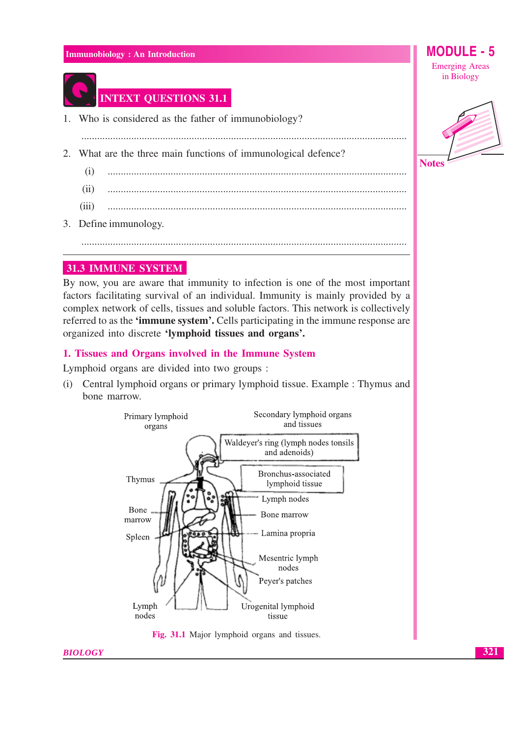

#### **INTEXT QUESTIONS 31.1**

1. Who is considered as the father of immunobiology?

- 2. What are the three main functions of immunological defence?
	- $(i)$
	- $(ii)$
	- $(iii)$
- 3. Define immunology.

#### **31.3 IMMUNE SYSTEM**

By now, you are aware that immunity to infection is one of the most important factors facilitating survival of an individual. Immunity is mainly provided by a complex network of cells, tissues and soluble factors. This network is collectively referred to as the **'immune system'.** Cells participating in the immune response are organized into discrete 'lymphoid tissues and organs'.

#### 1. Tissues and Organs involved in the Immune System

Lymphoid organs are divided into two groups :

(i) Central lymphoid organs or primary lymphoid tissue. Example : Thymus and bone marrow.



Fig. 31.1 Major lymphoid organs and tissues.

**Emerging Areas** in Biology

MODUL

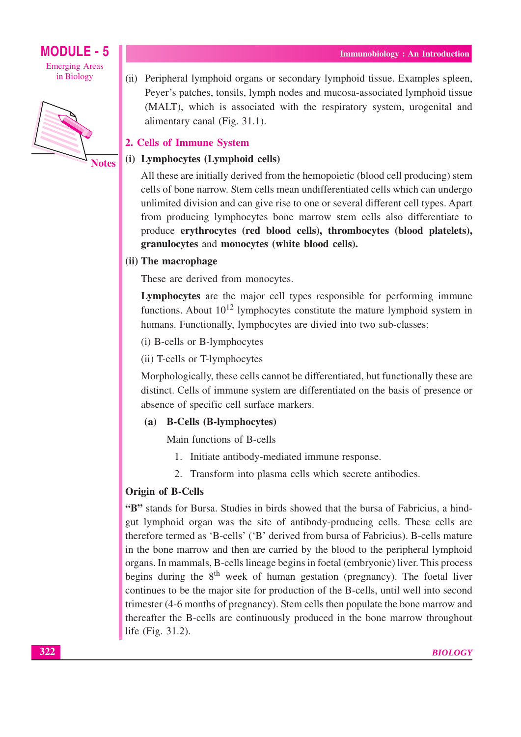### **MODULE - 5**

**Emerging Areas** in Biology



(ii) Peripheral lymphoid organs or secondary lymphoid tissue. Examples spleen, Pever's patches, tonsils, lymph nodes and mucosa-associated lymphoid tissue (MALT), which is associated with the respiratory system, urogenital and alimentary canal (Fig. 31.1).

#### 2. Cells of Immune System

#### (i) Lymphocytes (Lymphoid cells)

All these are initially derived from the hemopoietic (blood cell producing) stem cells of bone narrow. Stem cells mean undifferentiated cells which can undergo unlimited division and can give rise to one or several different cell types. Apart from producing lymphocytes bone marrow stem cells also differentiate to produce erythrocytes (red blood cells), thrombocytes (blood platelets), granulocytes and monocytes (white blood cells).

#### (ii) The macrophage

These are derived from monocytes.

Lymphocytes are the major cell types responsible for performing immune functions. About  $10^{12}$  lymphocytes constitute the mature lymphoid system in humans. Functionally, lymphocytes are divied into two sub-classes:

(i) B-cells or B-lymphocytes

(ii) T-cells or T-lymphocytes

Morphologically, these cells cannot be differentiated, but functionally these are distinct. Cells of immune system are differentiated on the basis of presence or absence of specific cell surface markers.

#### (a) B-Cells (B-lymphocytes)

Main functions of B-cells

- 1. Initiate antibody-mediated immune response.
- 2. Transform into plasma cells which secrete antibodies.

#### **Origin of B-Cells**

"B" stands for Bursa. Studies in birds showed that the bursa of Fabricius, a hindgut lymphoid organ was the site of antibody-producing cells. These cells are therefore termed as 'B-cells' ('B' derived from bursa of Fabricius). B-cells mature in the bone marrow and then are carried by the blood to the peripheral lymphoid organs. In mammals, B-cells lineage begins in foetal (embryonic) liver. This process begins during the  $8<sup>th</sup>$  week of human gestation (pregnancy). The foetal liver continues to be the major site for production of the B-cells, until well into second trimester (4-6 months of pregnancy). Stem cells then populate the bone marrow and thereafter the B-cells are continuously produced in the bone marrow throughout life (Fig. 31.2).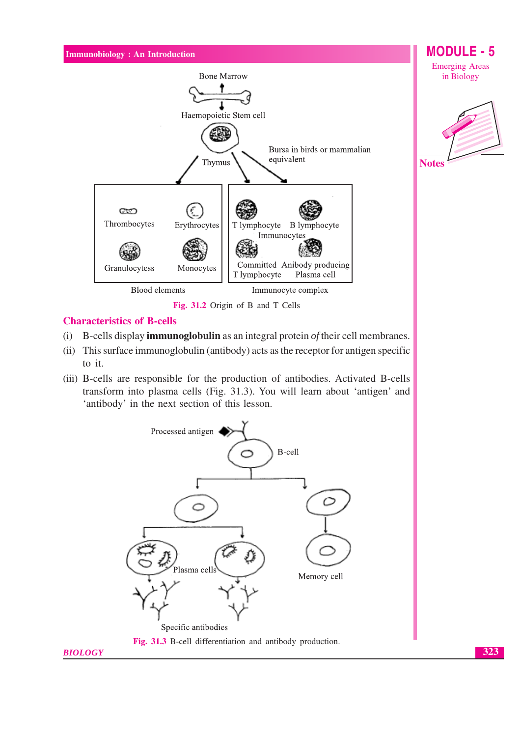

- B-cells display **immunoglobulin** as an integral protein of their cell membranes.  $(i)$
- (ii) This surface immunoglobulin (antibody) acts as the receptor for antigen specific to it.
- (iii) B-cells are responsible for the production of antibodies. Activated B-cells transform into plasma cells (Fig. 31.3). You will learn about 'antigen' and 'antibody' in the next section of this lesson.

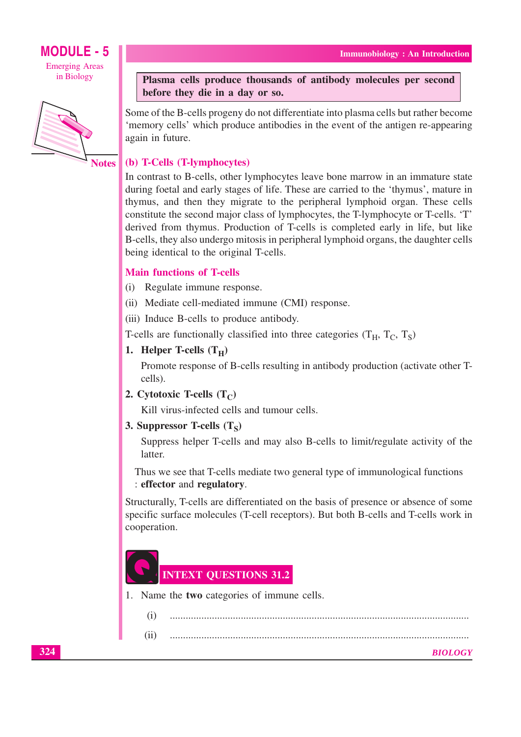## **MODULE - 5**

**Emerging Areas** in Biology



**Notes** 

#### Plasma cells produce thousands of antibody molecules per second before they die in a day or so.

Some of the B-cells progeny do not differentiate into plasma cells but rather become 'memory cells' which produce antibodies in the event of the antigen re-appearing again in future.

#### (b) T-Cells (T-lymphocytes)

In contrast to B-cells, other lymphocytes leave bone marrow in an immature state during foetal and early stages of life. These are carried to the 'thymus', mature in thymus, and then they migrate to the peripheral lymphoid organ. These cells constitute the second major class of lymphocytes, the T-lymphocyte or T-cells. 'T' derived from thymus. Production of T-cells is completed early in life, but like B-cells, they also undergo mitosis in peripheral lymphoid organs, the daughter cells being identical to the original T-cells.

#### **Main functions of T-cells**

- (i) Regulate immune response.
- (ii) Mediate cell-mediated immune (CMI) response.
- (iii) Induce B-cells to produce antibody.

T-cells are functionally classified into three categories  $(T_H, T_C, T_S)$ 

1. Helper T-cells  $(T_H)$ 

Promote response of B-cells resulting in antibody production (activate other Tcells).

2. Cytotoxic T-cells  $(T_C)$ 

Kill virus-infected cells and tumour cells.

3. Suppressor T-cells  $(T_S)$ 

Suppress helper T-cells and may also B-cells to limit/regulate activity of the latter.

Thus we see that T-cells mediate two general type of immunological functions : effector and regulatory.

Structurally, T-cells are differentiated on the basis of presence or absence of some specific surface molecules (T-cell receptors). But both B-cells and T-cells work in cooperation.



1. Name the **two** categories of immune cells.

| (i) |                |
|-----|----------------|
|     | <b>BIOLOGY</b> |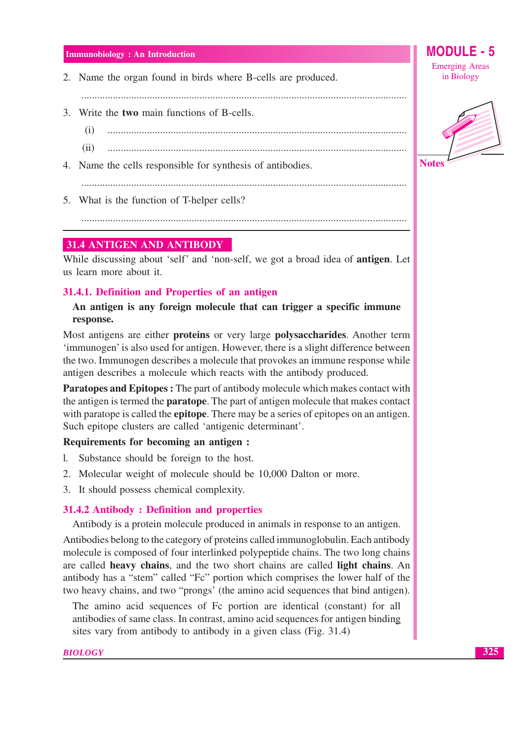2. Name the organ found in birds where B-cells are produced.

- 3. Write the two main functions of B-cells.
	- $(i)$
	- $(ii)$
- 4. Name the cells responsible for synthesis of antibodies.

5. What is the function of T-helper cells?

#### 31.4 ANTIGEN AND ANTIBODY

While discussing about 'self' and 'non-self, we got a broad idea of **antigen**. Let us learn more about it.

#### 31.4.1. Definition and Properties of an antigen

#### An antigen is any foreign molecule that can trigger a specific immune response.

Most antigens are either proteins or very large polysaccharides. Another term 'immunogen' is also used for antigen. However, there is a slight difference between the two. Immunogen describes a molecule that provokes an immune response while antigen describes a molecule which reacts with the antibody produced.

Paratopes and Epitopes : The part of antibody molecule which makes contact with the antigen is termed the **paratope**. The part of antigen molecule that makes contact with paratope is called the **epitope**. There may be a series of epitopes on an antigen. Such epitope clusters are called 'antigenic determinant'.

#### Requirements for becoming an antigen :

- 1. Substance should be foreign to the host.
- 2. Molecular weight of molecule should be 10,000 Dalton or more.
- 3. It should possess chemical complexity.

#### 31.4.2 Antibody : Definition and properties

Antibody is a protein molecule produced in animals in response to an antigen.

Antibodies belong to the category of proteins called immunoglobulin. Each antibody molecule is composed of four interlinked polypeptide chains. The two long chains are called heavy chains, and the two short chains are called light chains. An antibody has a "stem" called "Fc" portion which comprises the lower half of the two heavy chains, and two "prongs' (the amino acid sequences that bind antigen).

The amino acid sequences of Fc portion are identical (constant) for all antibodies of same class. In contrast, amino acid sequences for antigen binding sites vary from antibody to antibody in a given class (Fig. 31.4)



MODULE -



325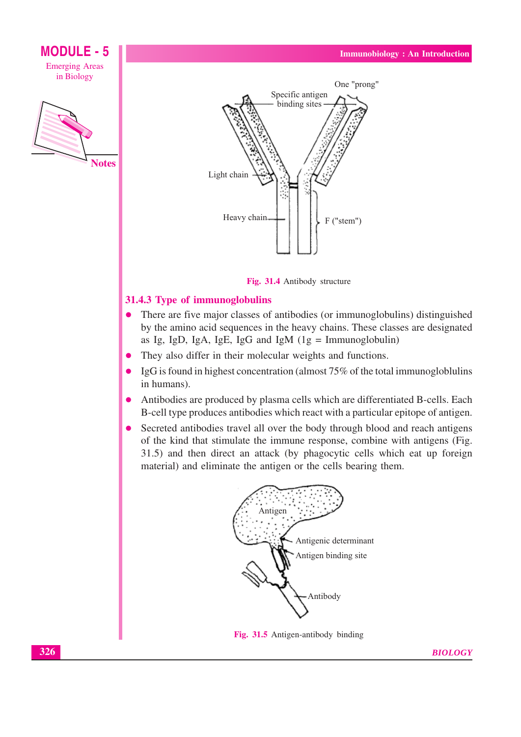

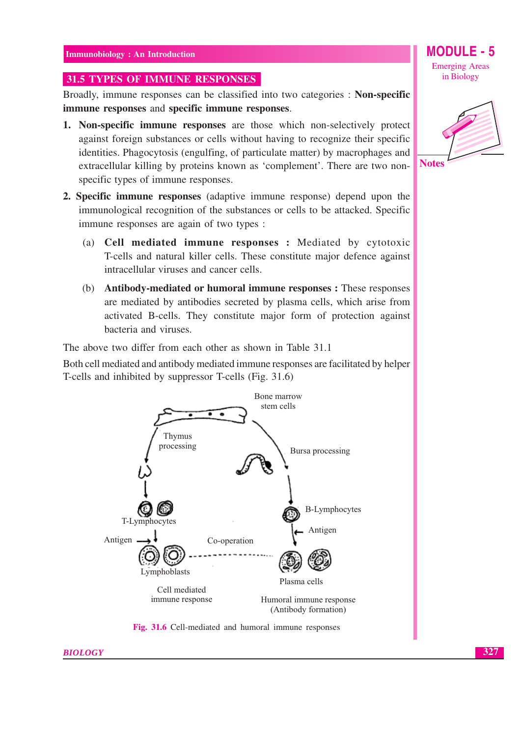#### 31.5 TYPES OF IMMUNE RESPONSES

Broadly, immune responses can be classified into two categories : Non-specific immune responses and specific immune responses.

- 1. Non-specific immune responses are those which non-selectively protect against foreign substances or cells without having to recognize their specific identities. Phagocytosis (engulfing, of particulate matter) by macrophages and extracellular killing by proteins known as 'complement'. There are two nonspecific types of immune responses.
- 2. Specific immune responses (adaptive immune response) depend upon the immunological recognition of the substances or cells to be attacked. Specific immune responses are again of two types :
	- (a) Cell mediated immune responses : Mediated by cytotoxic T-cells and natural killer cells. These constitute major defence against intracellular viruses and cancer cells.
	- (b) Antibody-mediated or humoral immune responses : These responses are mediated by antibodies secreted by plasma cells, which arise from activated B-cells. They constitute major form of protection against bacteria and viruses.

The above two differ from each other as shown in Table 31.1

Both cell mediated and antibody mediated immune responses are facilitated by helper T-cells and inhibited by suppressor T-cells (Fig. 31.6)



Fig. 31.6 Cell-mediated and humoral immune responses

#### **MODULE - 5 Emerging Areas** in Biology

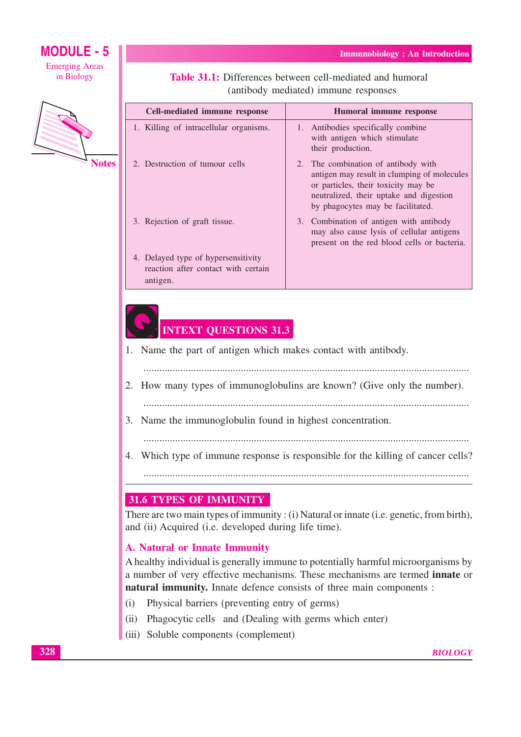**MODULE - 5 Emerging Areas** 

in Biology



**Notes** 

| (antibody mediated) immune responses                                                   |                                                                                                                                                                                                           |  |
|----------------------------------------------------------------------------------------|-----------------------------------------------------------------------------------------------------------------------------------------------------------------------------------------------------------|--|
| <b>Cell-mediated immune response</b>                                                   | Humoral immune response                                                                                                                                                                                   |  |
| 1. Killing of intracellular organisms.                                                 | Antibodies specifically combine<br>1.<br>with antigen which stimulate<br>their production.                                                                                                                |  |
| 2. Destruction of tumour cells                                                         | 2. The combination of antibody with<br>antigen may result in clumping of molecules<br>or particles, their toxicity may be<br>neutralized, their uptake and digestion<br>by phagocytes may be facilitated. |  |
| 3. Rejection of graft tissue.                                                          | 3. Combination of antigen with antibody<br>may also cause lysis of cellular antigens<br>present on the red blood cells or bacteria.                                                                       |  |
| 4. Delayed type of hypersensitivity<br>reaction after contact with certain<br>antigen. |                                                                                                                                                                                                           |  |

**Table 31.1:** Differences between cell-mediated and humoral

**Immunobiology: An Introduction** 

### **INTEXT QUESTIONS 31.3**

1. Name the part of antigen which makes contact with antibody.

- 
- 2. How many types of immunoglobulins are known? (Give only the number).
- 
- 3. Name the immunoglobulin found in highest concentration.
	-
- 4. Which type of immune response is responsible for the killing of cancer cells?

#### 31.6 TYPES OF IMMUNITY

There are two main types of immunity: (i) Natural or innate (i.e. genetic, from birth), and (ii) Acquired (i.e. developed during life time).

#### **A. Natural or Innate Immunity**

A healthy individual is generally immune to potentially harmful microorganisms by a number of very effective mechanisms. These mechanisms are termed innate or natural immunity. Innate defence consists of three main components :

- Physical barriers (preventing entry of germs)  $(i)$
- (ii) Phagocytic cells and (Dealing with germs which enter)
- (iii) Soluble components (complement)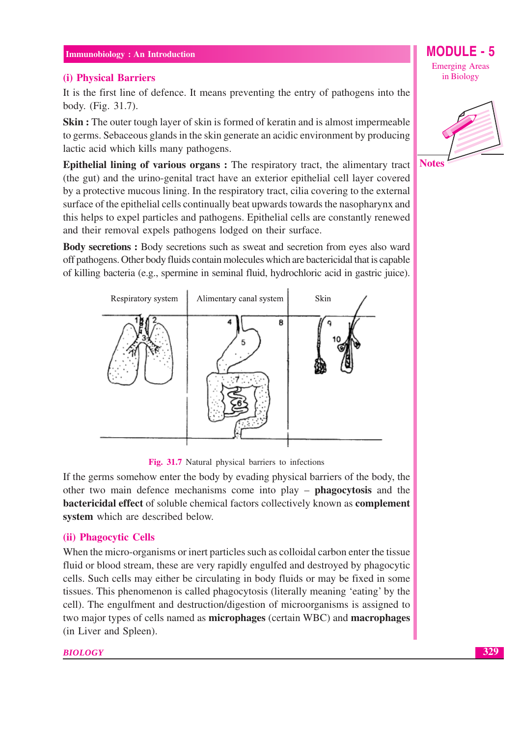#### (i) Physical Barriers

It is the first line of defence. It means preventing the entry of pathogens into the body. (Fig. 31.7).

**Skin**: The outer tough layer of skin is formed of keratin and is almost impermeable to germs. Sebaceous glands in the skin generate an acidic environment by producing lactic acid which kills many pathogens.

**Epithelial lining of various organs:** The respiratory tract, the alimentary tract (the gut) and the urino-genital tract have an exterior epithelial cell laver covered by a protective mucous lining. In the respiratory tract, cilia covering to the external surface of the epithelial cells continually beat upwards towards the nasopharynx and this helps to expel particles and pathogens. Epithelial cells are constantly renewed and their removal expels pathogens lodged on their surface.

**Body secretions:** Body secretions such as sweat and secretion from eyes also ward off pathogens. Other body fluids contain molecules which are bactericidal that is capable of killing bacteria (e.g., spermine in seminal fluid, hydrochloric acid in gastric juice).



Fig. 31.7 Natural physical barriers to infections

If the germs somehow enter the body by evading physical barriers of the body, the other two main defence mechanisms come into  $play - phagocytosis$  and the bactericidal effect of soluble chemical factors collectively known as complement system which are described below.

#### (ii) Phagocytic Cells

When the micro-organisms or inert particles such as colloidal carbon enter the tissue fluid or blood stream, these are very rapidly engulfed and destroyed by phagocytic cells. Such cells may either be circulating in body fluids or may be fixed in some tissues. This phenomenon is called phagocytosis (literally meaning 'eating' by the cell). The engulfment and destruction/digestion of microorganisms is assigned to two major types of cells named as **microphages** (certain WBC) and **macrophages** (in Liver and Spleen).

#### **BIOLOGY**

MODULE - 5 **Emerging Areas** in Biology

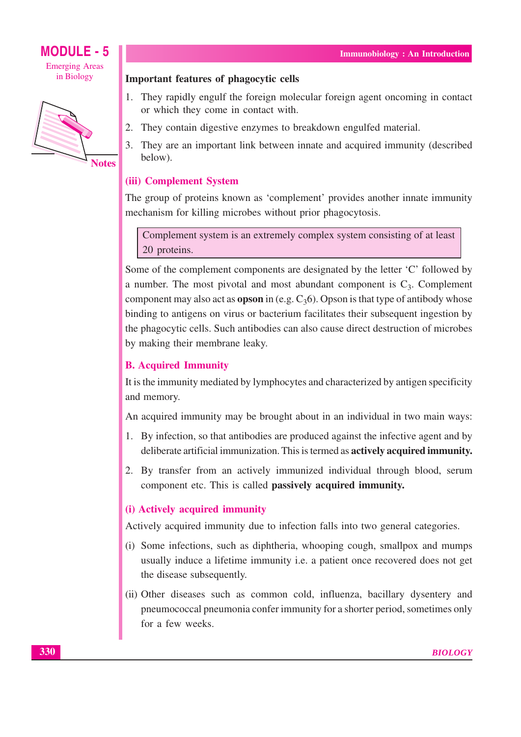



**Notes** 

#### **Important features of phagocytic cells**

- 1. They rapidly engulf the foreign molecular foreign agent oncoming in contact or which they come in contact with.
- 2. They contain digestive enzymes to breakdown engulfed material.
- 3. They are an important link between innate and acquired immunity (described helow).

#### (iii) Complement System

The group of proteins known as 'complement' provides another innate immunity mechanism for killing microbes without prior phagocytosis.

Complement system is an extremely complex system consisting of at least 20 proteins.

Some of the complement components are designated by the letter 'C' followed by a number. The most pivotal and most abundant component is  $C_3$ . Complement component may also act as **opson** in (e.g.  $C_3$ 6). Opson is that type of antibody whose binding to antigens on virus or bacterium facilitates their subsequent ingestion by the phagocytic cells. Such antibodies can also cause direct destruction of microbes by making their membrane leaky.

#### **B.** Acquired Immunity

It is the immunity mediated by lymphocytes and characterized by antigen specificity and memory.

An acquired immunity may be brought about in an individual in two main ways:

- 1. By infection, so that antibodies are produced against the infective agent and by deliberate artificial immunization. This is termed as **actively acquired immunity.**
- 2. By transfer from an actively immunized individual through blood, serum component etc. This is called **passively acquired immunity.**

#### (i) Actively acquired immunity

Actively acquired immunity due to infection falls into two general categories.

- (i) Some infections, such as diphtheria, whooping cough, smallpox and mumps usually induce a lifetime immunity *i.e.* a patient once recovered does not get the disease subsequently.
- (ii) Other diseases such as common cold, influenza, bacillary dysentery and pneumococcal pneumonia confer immunity for a shorter period, sometimes only for a few weeks.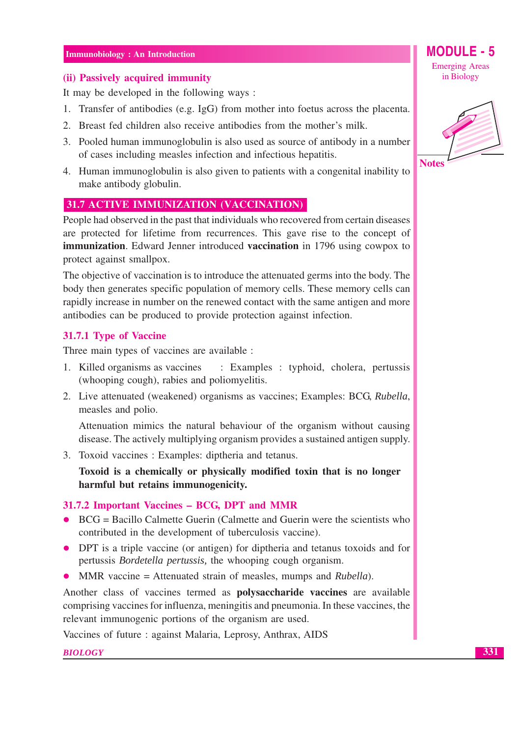#### (ii) Passively acquired immunity

It may be developed in the following ways:

- 1. Transfer of antibodies (e.g. IgG) from mother into foetus across the placenta.
- 2. Breast fed children also receive antibodies from the mother's milk.
- 3. Pooled human immunoglobulin is also used as source of antibody in a number of cases including measles infection and infectious hepatitis.
- 4. Human immunoglobulin is also given to patients with a congenital inability to make antibody globulin.

#### 31.7 ACTIVE IMMUNIZATION (VACCINATION)

People had observed in the past that individuals who recovered from certain diseases are protected for lifetime from recurrences. This gave rise to the concept of **immunization.** Edward Jenner introduced **vaccination** in 1796 using cowpox to protect against smallpox.

The objective of vaccination is to introduce the attenuated germs into the body. The body then generates specific population of memory cells. These memory cells can rapidly increase in number on the renewed contact with the same antigen and more antibodies can be produced to provide protection against infection.

#### 31.7.1 Type of Vaccine

Three main types of vaccines are available :

- 1. Killed organisms as vaccines : Examples : typhoid, cholera, pertussis (whooping cough), rabies and poliomyelitis.
- 2. Live attenuated (weakened) organisms as vaccines; Examples: BCG, Rubella, measles and polio.

Attenuation mimics the natural behaviour of the organism without causing disease. The actively multiplying organism provides a sustained antigen supply.

3. Toxoid vaccines : Examples: diptheria and tetanus.

Toxoid is a chemically or physically modified toxin that is no longer harmful but retains immunogenicity.

#### 31.7.2 Important Vaccines - BCG, DPT and MMR

- $\bullet$  BCG = Bacillo Calmette Guerin (Calmette and Guerin were the scientists who contributed in the development of tuberculosis vaccine).
- DPT is a triple vaccine (or antigen) for diptheria and tetanus toxoids and for pertussis *Bordetella pertussis*, the whooping cough organism.
- MMR vaccine = Attenuated strain of measles, mumps and *Rubella*).  $\bullet$

Another class of vaccines termed as **polysaccharide vaccines** are available comprising vaccines for influenza, meningitis and pneumonia. In these vaccines, the relevant immunogenic portions of the organism are used.

Vaccines of future: against Malaria, Leprosy, Anthrax, AIDS

**BIOLOGY** 

### MODULE - 5

**Emerging Areas** in Biology



331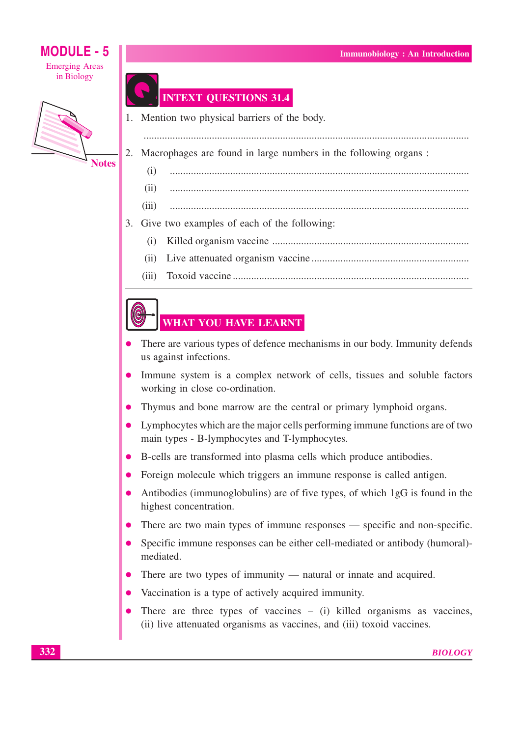#### MODULE -  $5$ **Emerging Areas** in Biology



### **INTEXT QUESTIONS 31.4**

 $(ii)$ 

1. Mention two physical barriers of the body.

Macrophages are found in large numbers in the following organs:  $2^{\circ}$ 

 $(i)$ 

- $(iii)$
- 3. Give two examples of each of the following:
	-
	- $(ii)$
	- $(iii)$

### WHAT YOU HAVE LEARNT

- There are various types of defence mechanisms in our body. Immunity defends us against infections.
- Immune system is a complex network of cells, tissues and soluble factors working in close co-ordination.
- Thymus and bone marrow are the central or primary lymphoid organs.
- Lymphocytes which are the major cells performing immune functions are of two main types - B-lymphocytes and T-lymphocytes.
- B-cells are transformed into plasma cells which produce antibodies.
- Foreign molecule which triggers an immune response is called antigen.
- Antibodies (immunoglobulins) are of five types, of which 1gG is found in the highest concentration.
- There are two main types of immune responses specific and non-specific.
- Specific immune responses can be either cell-mediated or antibody (humoral)mediated.
- There are two types of immunity  $-$  natural or innate and acquired.
- Vaccination is a type of actively acquired immunity.
- There are three types of vaccines  $-$  (i) killed organisms as vaccines, (ii) live attenuated organisms as vaccines, and (iii) toxoid vaccines.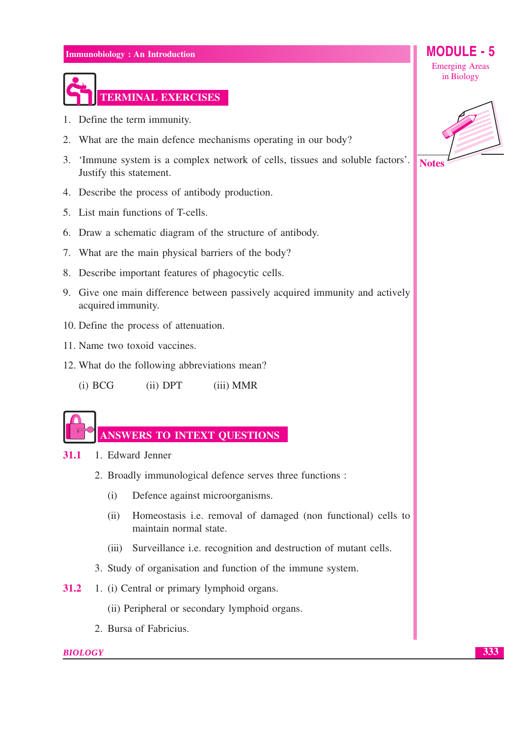

- 1. Define the term immunity.
- 2. What are the main defence mechanisms operating in our body?
- 3. 'Immune system is a complex network of cells, tissues and soluble factors'. Justify this statement.
- 4. Describe the process of antibody production.
- 5. List main functions of T-cells.
- 6. Draw a schematic diagram of the structure of antibody.
- 7. What are the main physical barriers of the body?
- 8. Describe important features of phagocytic cells.
- 9. Give one main difference between passively acquired immunity and actively acquired immunity.
- 10. Define the process of attenuation.
- 11. Name two toxoid vaccines.
- 12. What do the following abbreviations mean?

 $(i) BCG$  $(ii)$  DPT (iii) MMR

#### ANSWERS TO INTEXT QUESTIONS

- 1. Edward Jenner  $31.1$ 
	- 2. Broadly immunological defence serves three functions :
		- $(i)$ Defence against microorganisms.
		- $(ii)$ Homeostasis *i.e.* removal of damaged (non functional) cells to maintain normal state.
		- (iii) Surveillance i.e. recognition and destruction of mutant cells.
	- 3. Study of organisation and function of the immune system.
- 31.2 1. (i) Central or primary lymphoid organs.
	- (ii) Peripheral or secondary lymphoid organs.
	- 2. Bursa of Fabricius.

#### **BIOLOGY**

**MODULE - 5 Emerging Areas** in Biology